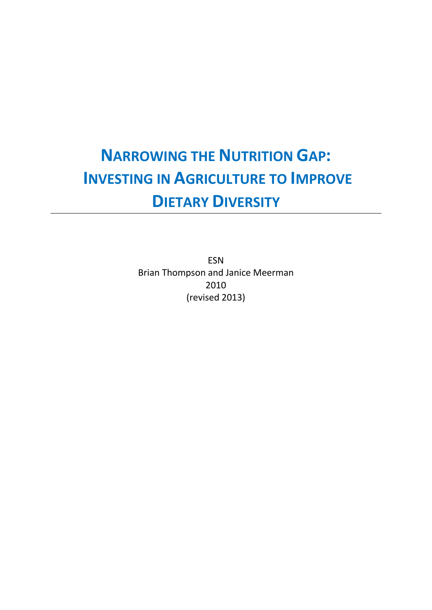# **NARROWING THE NUTRITION GAP: INVESTING IN AGRICULTURE TO IMPROVE DIETARY DIVERSITY**

<span id="page-0-0"></span>ESN Brian Thompson and Janice Meerman 2010 (revised 2013)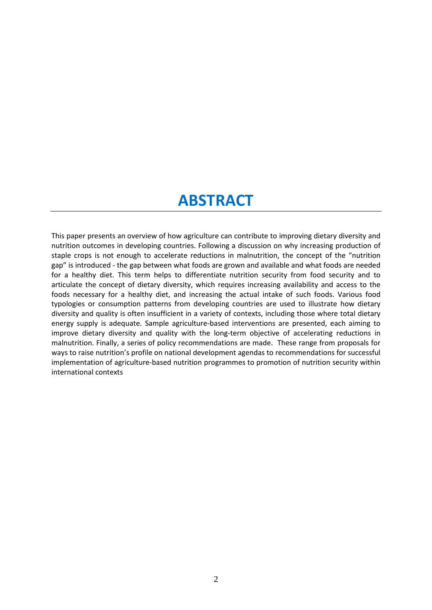### **ABSTRACT**

This paper presents an overview of how agriculture can contribute to improving dietary diversity and nutrition outcomes in developing countries. Following a discussion on why increasing production of staple crops is not enough to accelerate reductions in malnutrition, the concept of the "nutrition gap" is introduced - the gap between what foods are grown and available and what foods are needed for a healthy diet. This term helps to differentiate nutrition security from food security and to articulate the concept of dietary diversity, which requires increasing availability and access to the foods necessary for a healthy diet, and increasing the actual intake of such foods. Various food typologies or consumption patterns from developing countries are used to illustrate how dietary diversity and quality is often insufficient in a variety of contexts, including those where total dietary energy supply is adequate. Sample agriculture-based interventions are presented, each aiming to improve dietary diversity and quality with the long-term objective of accelerating reductions in malnutrition. Finally, a series of policy recommendations are made. These range from proposals for ways to raise nutrition's profile on national development agendas to recommendations for successful implementation of agriculture-based nutrition programmes to promotion of nutrition security within international contexts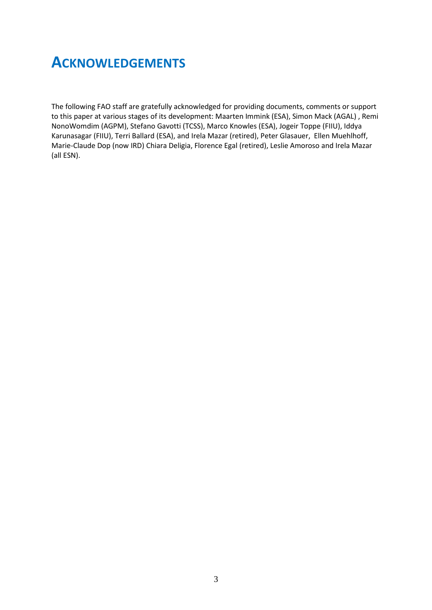### <span id="page-2-0"></span>**ACKNOWLEDGEMENTS**

The following FAO staff are gratefully acknowledged for providing documents, comments or support to this paper at various stages of its development: Maarten Immink (ESA), Simon Mack (AGAL) , Remi NonoWomdim (AGPM), Stefano Gavotti (TCSS), Marco Knowles (ESA), Jogeir Toppe (FIIU), Iddya Karunasagar (FIIU), Terri Ballard (ESA), and Irela Mazar (retired), Peter Glasauer, Ellen Muehlhoff, Marie-Claude Dop (now IRD) Chiara Deligia, Florence Egal (retired), Leslie Amoroso and Irela Mazar (all ESN).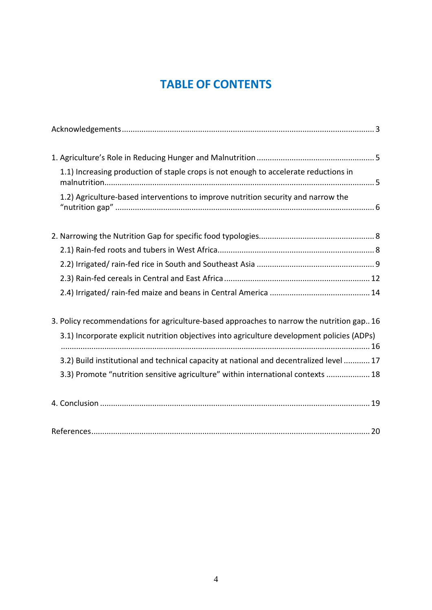### **TABLE OF CONTENTS**

| 1.1) Increasing production of staple crops is not enough to accelerate reductions in        |
|---------------------------------------------------------------------------------------------|
| 1.2) Agriculture-based interventions to improve nutrition security and narrow the           |
|                                                                                             |
|                                                                                             |
|                                                                                             |
|                                                                                             |
|                                                                                             |
| 3. Policy recommendations for agriculture-based approaches to narrow the nutrition gap 16   |
| 3.1) Incorporate explicit nutrition objectives into agriculture development policies (ADPs) |
| 3.2) Build institutional and technical capacity at national and decentralized level  17     |
| 3.3) Promote "nutrition sensitive agriculture" within international contexts  18            |
|                                                                                             |
|                                                                                             |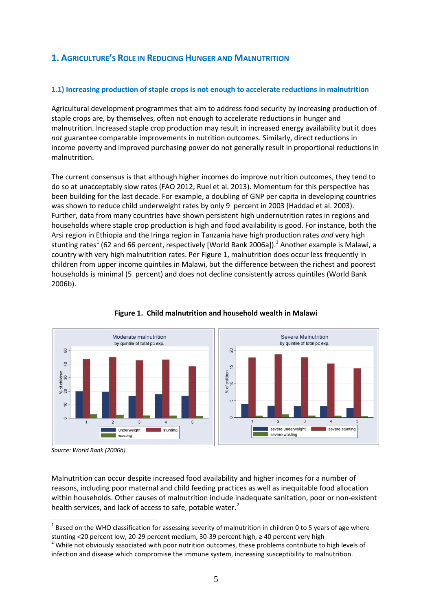#### <span id="page-4-0"></span>**1. AGRICULTURE'S ROLE IN REDUCING HUNGER AND MALNUTRITION**

#### <span id="page-4-1"></span>**1.1) Increasing production of staple crops is not enough to accelerate reductions in malnutrition**

Agricultural development programmes that aim to address food security by increasing production of staple crops are, by themselves, often not enough to accelerate reductions in hunger and malnutrition. Increased staple crop production may result in increased energy availability but it does *not* guarantee comparable improvements in nutrition outcomes. Similarly, direct reductions in income poverty and improved purchasing power do not generally result in proportional reductions in malnutrition.

The current consensus is that although higher incomes do improve nutrition outcomes, they tend to do so at unacceptably slow rates (FAO 2012, Ruel et al. 2013). Momentum for this perspective has been building for the last decade. For example, a doubling of GNP per capita in developing countries was shown to reduce child underweight rates by only 9 percent in 2003 (Haddad et al. 2003). Further, data from many countries have shown persistent high undernutrition rates in regions and households where staple crop production is high and food availability is good. For instance, both the Arsi region in Ethiopia and the Iringa region in Tanzania have high production rates *and* very high stunting rates<sup>[1](#page-0-0)</sup> (62 and 66 percent, respectively [World Bank 2006a]).<sup>1</sup> Another example is Malawi, a country with very high malnutrition rates. Per Figure 1, malnutrition does occur less frequently in children from upper income quintiles in Malawi, but the difference between the richest and poorest households is minimal (5 percent) and does not decline consistently across quintiles (World Bank 2006b).



#### **Figure 1. Child malnutrition and household wealth in Malawi**

Malnutrition can occur despite increased food availability and higher incomes for a number of reasons, including poor maternal and child feeding practices as well as inequitable food allocation within households. Other causes of malnutrition include inadequate sanitation, poor or non-existent health services, and lack of access to safe, potable water.<sup>[2](#page-4-2)</sup>

*Source: World Bank (2006b)*

<span id="page-4-3"></span> $1$  Based on the WHO classification for assessing severity of malnutrition in children 0 to 5 years of age where stunting <20 percent low, 20-29 percent medium, 30-39 percent high, ≥ 40 percent very high

<span id="page-4-2"></span><sup>&</sup>lt;sup>2</sup> While not obviously associated with poor nutrition outcomes, these problems contribute to high levels of infection and disease which compromise the immune system, increasing susceptibility to malnutrition.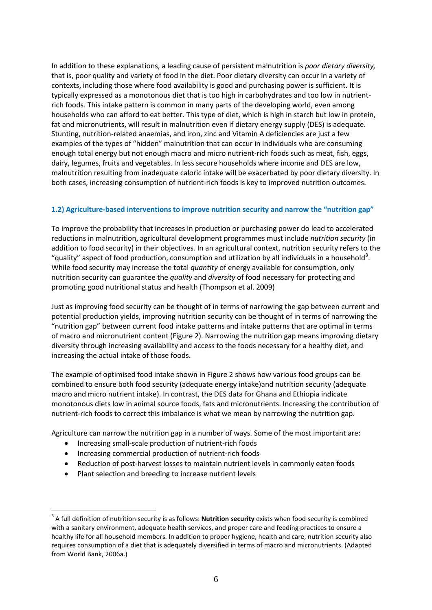In addition to these explanations, a leading cause of persistent malnutrition is *poor dietary diversity,*  that is, poor quality and variety of food in the diet. Poor dietary diversity can occur in a variety of contexts, including those where food availability is good and purchasing power is sufficient. It is typically expressed as a monotonous diet that is too high in carbohydrates and too low in nutrientrich foods. This intake pattern is common in many parts of the developing world, even among households who can afford to eat better. This type of diet, which is high in starch but low in protein, fat and micronutrients, will result in malnutrition even if dietary energy supply (DES) is adequate. Stunting, nutrition-related anaemias, and iron, zinc and Vitamin A deficiencies are just a few examples of the types of "hidden" malnutrition that can occur in individuals who are consuming enough total energy but not enough macro and micro nutrient-rich foods such as meat, fish, eggs, dairy, legumes, fruits and vegetables. In less secure households where income and DES are low, malnutrition resulting from inadequate caloric intake will be exacerbated by poor dietary diversity. In both cases, increasing consumption of nutrient-rich foods is key to improved nutrition outcomes.

#### <span id="page-5-0"></span>**1.2) Agriculture-based interventions to improve nutrition security and narrow the "nutrition gap"**

To improve the probability that increases in production or purchasing power do lead to accelerated reductions in malnutrition, agricultural development programmes must include *nutrition security* (in addition to food security) in their objectives*.* In an agricultural context, nutrition security refers to the "quality" aspect of food production, consumption and utilization by all individuals in a household<sup>[3](#page-4-3)</sup>. While food security may increase the total *quantity* of energy available for consumption, only nutrition security can guarantee the *quality* and *diversity* of food necessary for protecting and promoting good nutritional status and health (Thompson et al. 2009)

Just as improving food security can be thought of in terms of narrowing the gap between current and potential production yields, improving nutrition security can be thought of in terms of narrowing the "nutrition gap" between current food intake patterns and intake patterns that are optimal in terms of macro and micronutrient content (Figure 2). Narrowing the nutrition gap means improving dietary diversity through increasing availability and access to the foods necessary for a healthy diet, and increasing the actual intake of those foods.

The example of optimised food intake shown in Figure 2 shows how various food groups can be combined to ensure both food security (adequate energy intake)and nutrition security (adequate macro and micro nutrient intake). In contrast, the DES data for Ghana and Ethiopia indicate monotonous diets low in animal source foods, fats and micronutrients. Increasing the contribution of nutrient-rich foods to correct this imbalance is what we mean by narrowing the nutrition gap.

Agriculture can narrow the nutrition gap in a number of ways. Some of the most important are:

- Increasing small-scale production of nutrient-rich foods
- Increasing commercial production of nutrient-rich foods
- Reduction of post-harvest losses to maintain nutrient levels in commonly eaten foods
- Plant selection and breeding to increase nutrient levels

<span id="page-5-1"></span><sup>&</sup>lt;sup>3</sup> A full definition of nutrition security is as follows: **Nutrition security** exists when food security is combined with a sanitary environment, adequate health services, and proper care and feeding practices to ensure a healthy life for all household members. In addition to proper hygiene, health and care, nutrition security also requires consumption of a diet that is adequately diversified in terms of macro and micronutrients. (Adapted from World Bank, 2006a.)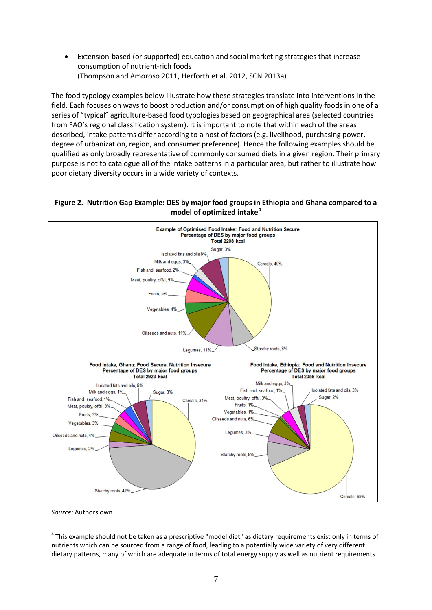• Extension-based (or supported) education and social marketing strategies that increase consumption of nutrient-rich foods (Thompson and Amoroso 2011, Herforth et al. 2012, SCN 2013a)

The food typology examples below illustrate how these strategies translate into interventions in the field. Each focuses on ways to boost production and/or consumption of high quality foods in one of a series of "typical" agriculture-based food typologies based on geographical area (selected countries from FAO's regional classification system). It is important to note that within each of the areas described, intake patterns differ according to a host of factors (e.g. livelihood, purchasing power, degree of urbanization, region, and consumer preference). Hence the following examples should be qualified as only broadly representative of commonly consumed diets in a given region. Their primary purpose is not to catalogue all of the intake patterns in a particular area, but rather to illustrate how poor dietary diversity occurs in a wide variety of contexts.

#### **Figure 2. Nutrition Gap Example: DES by major food groups in Ethiopia and Ghana compared to a model of optimized intake[4](#page-5-1)**



<span id="page-6-0"></span>*Source:* Authors own

<sup>&</sup>lt;sup>4</sup> This example should not be taken as a prescriptive "model diet" as dietary requirements exist only in terms of nutrients which can be sourced from a range of food, leading to a potentially wide variety of very different dietary patterns, many of which are adequate in terms of total energy supply as well as nutrient requirements.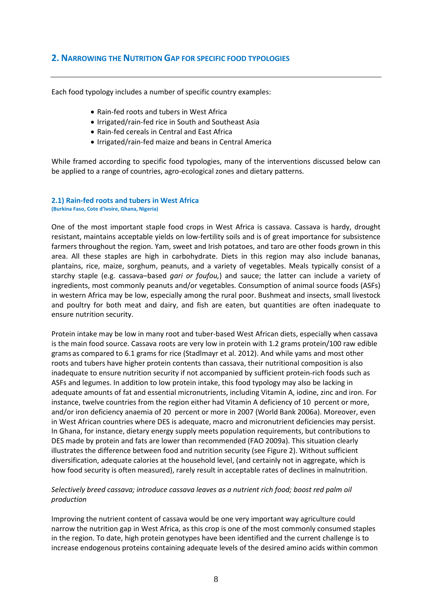#### <span id="page-7-0"></span>**2. NARROWING THE NUTRITION GAP FOR SPECIFIC FOOD TYPOLOGIES**

Each food typology includes a number of specific country examples:

- Rain-fed roots and tubers in West Africa
- Irrigated/rain-fed rice in South and Southeast Asia
- Rain-fed cereals in Central and East Africa
- Irrigated/rain-fed maize and beans in Central America

While framed according to specific food typologies, many of the interventions discussed below can be applied to a range of countries, agro-ecological zones and dietary patterns.

#### <span id="page-7-1"></span>**2.1) Rain-fed roots and tubers in West Africa (Burkina Faso, Cote d'Ivoire, Ghana, Nigeria)**

One of the most important staple food crops in West Africa is cassava. Cassava is hardy, drought resistant, maintains acceptable yields on low-fertility soils and is of great importance for subsistence farmers throughout the region. Yam, sweet and Irish potatoes, and taro are other foods grown in this area. All these staples are high in carbohydrate. Diets in this region may also include bananas, plantains, rice, maize, sorghum, peanuts, and a variety of vegetables. Meals typically consist of a starchy staple (e.g. cassava–based *gari or foufou,*) and sauce; the latter can include a variety of ingredients, most commonly peanuts and/or vegetables. Consumption of animal source foods (ASFs) in western Africa may be low, especially among the rural poor. Bushmeat and insects, small livestock and poultry for both meat and dairy, and fish are eaten, but quantities are often inadequate to ensure nutrition security.

Protein intake may be low in many root and tuber-based West African diets, especially when cassava is the main food source. Cassava roots are very low in protein with 1.2 grams protein/100 raw edible grams as compared to 6.1 grams for rice (Stadlmayr et al. 2012). And while yams and most other roots and tubers have higher protein contents than cassava, their nutritional composition is also inadequate to ensure nutrition security if not accompanied by sufficient protein-rich foods such as ASFs and legumes. In addition to low protein intake, this food typology may also be lacking in adequate amounts of fat and essential micronutrients, including Vitamin A, iodine, zinc and iron. For instance, twelve countries from the region either had Vitamin A deficiency of 10 percent or more, and/or iron deficiency anaemia of 20 percent or more in 2007 (World Bank 2006a). Moreover, even in West African countries where DES is adequate, macro and micronutrient deficiencies may persist. In Ghana, for instance, dietary energy supply meets population requirements, but contributions to DES made by protein and fats are lower than recommended (FAO 2009a). This situation clearly illustrates the difference between food and nutrition security (see Figure 2). Without sufficient diversification, adequate calories at the household level, (and certainly not in aggregate, which is how food security is often measured), rarely result in acceptable rates of declines in malnutrition.

#### *Selectively breed cassava; introduce cassava leaves as a nutrient rich food; boost red palm oil production*

Improving the nutrient content of cassava would be one very important way agriculture could narrow the nutrition gap in West Africa, as this crop is one of the most commonly consumed staples in the region. To date, high protein genotypes have been identified and the current challenge is to increase endogenous proteins containing adequate levels of the desired amino acids within common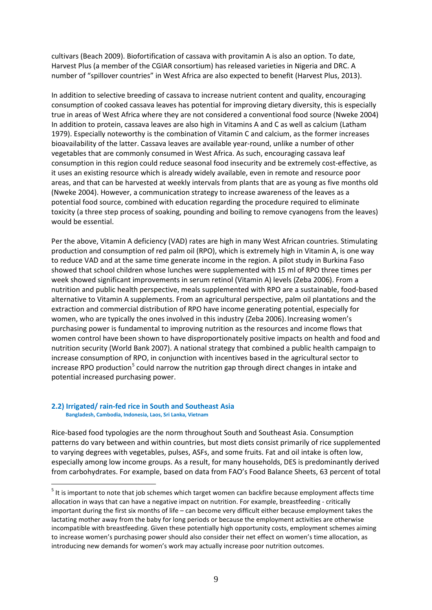cultivars (Beach 2009). Biofortification of cassava with provitamin A is also an option. To date, Harvest Plus (a member of the CGIAR consortium) has released varieties in Nigeria and DRC. A number of "spillover countries" in West Africa are also expected to benefit (Harvest Plus, 2013).

In addition to selective breeding of cassava to increase nutrient content and quality, encouraging consumption of cooked cassava leaves has potential for improving dietary diversity, this is especially true in areas of West Africa where they are not considered a conventional food source (Nweke 2004) In addition to protein, cassava leaves are also high in Vitamins A and C as well as calcium (Latham 1979). Especially noteworthy is the combination of Vitamin C and calcium, as the former increases bioavailability of the latter. Cassava leaves are available year-round, unlike a number of other vegetables that are commonly consumed in West Africa. As such, encouraging cassava leaf consumption in this region could reduce seasonal food insecurity and be extremely cost-effective, as it uses an existing resource which is already widely available, even in remote and resource poor areas, and that can be harvested at weekly intervals from plants that are as young as five months old (Nweke 2004). However, a communication strategy to increase awareness of the leaves as a potential food source, combined with education regarding the procedure required to eliminate toxicity (a three step process of soaking, pounding and boiling to remove cyanogens from the leaves) would be essential.

Per the above, Vitamin A deficiency (VAD) rates are high in many West African countries. Stimulating production and consumption of red palm oil (RPO), which is extremely high in Vitamin A, is one way to reduce VAD and at the same time generate income in the region. A pilot study in Burkina Faso showed that school children whose lunches were supplemented with 15 ml of RPO three times per week showed significant improvements in serum retinol (Vitamin A) levels (Zeba 2006). From a nutrition and public health perspective, meals supplemented with RPO are a sustainable, food-based alternative to Vitamin A supplements. From an agricultural perspective, palm oil plantations and the extraction and commercial distribution of RPO have income generating potential, especially for women, who are typically the ones involved in this industry (Zeba 2006). Increasing women's purchasing power is fundamental to improving nutrition as the resources and income flows that women control have been shown to have disproportionately positive impacts on health and food and nutrition security (World Bank 2007). A national strategy that combined a public health campaign to increase consumption of RPO, in conjunction with incentives based in the agricultural sector to increase RPO production<sup>[5](#page-6-0)</sup> could narrow the nutrition gap through direct changes in intake and potential increased purchasing power.

### <span id="page-8-0"></span>**2.2) Irrigated/ rain-fed rice in South and Southeast Asia Bangladesh, Cambodia, Indonesia, Laos, Sri Lanka, Vietnam**

Rice-based food typologies are the norm throughout South and Southeast Asia. Consumption patterns do vary between and within countries, but most diets consist primarily of rice supplemented to varying degrees with vegetables, pulses, ASFs, and some fruits. Fat and oil intake is often low, especially among low income groups. As a result, for many households, DES is predominantly derived from carbohydrates. For example, based on data from FAO's Food Balance Sheets, 63 percent of total

<span id="page-8-1"></span><sup>&</sup>lt;sup>5</sup> It is important to note that job schemes which target women can backfire because employment affects time allocation in ways that can have a negative impact on nutrition. For example, breastfeeding - critically important during the first six months of life – can become very difficult either because employment takes the lactating mother away from the baby for long periods or because the employment activities are otherwise incompatible with breastfeeding. Given these potentially high opportunity costs, employment schemes aiming to increase women's purchasing power should also consider their net effect on women's time allocation, as introducing new demands for women's work may actually increase poor nutrition outcomes.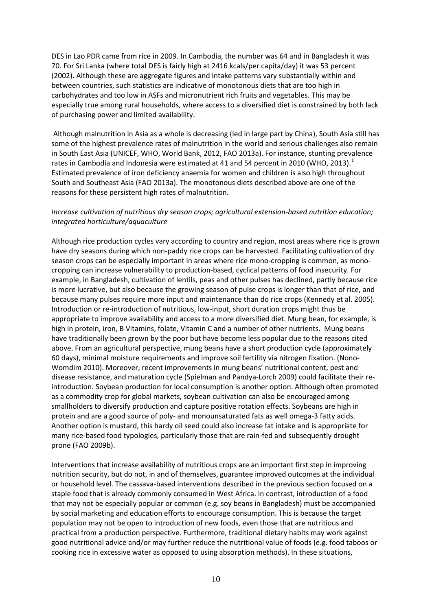DES in Lao PDR came from rice in 2009. In Cambodia, the number was 64 and in Bangladesh it was 70. For Sri Lanka (where total DES is fairly high at 2416 kcals/per capita/day) it was 53 percent (2002). Although these are aggregate figures and intake patterns vary substantially within and between countries, such statistics are indicative of monotonous diets that are too high in carbohydrates and too low in ASFs and micronutrient rich fruits and vegetables. This may be especially true among rural households, where access to a diversified diet is constrained by both lack of purchasing power and limited availability.

Although malnutrition in Asia as a whole is decreasing (led in large part by China), South Asia still has some of the highest prevalence rates of malnutrition in the world and serious challenges also remain in South East Asia (UNICEF, WHO, World Bank, 2012, FAO 2013a). For instance, stunting prevalence rates in Cambodia and Indonesia were estimated at 4[1](#page-17-1) and 54 percent in 2010 (WHO, 2013).<sup>1</sup> Estimated prevalence of iron deficiency anaemia for women and children is also high throughout South and Southeast Asia (FAO 2013a). The monotonous diets described above are one of the reasons for these persistent high rates of malnutrition.

#### *Increase cultivation of nutritious dry season crops; agricultural extension-based nutrition education; integrated horticulture/aquaculture*

Although rice production cycles vary according to country and region, most areas where rice is grown have dry seasons during which non-paddy rice crops can be harvested. Facilitating cultivation of dry season crops can be especially important in areas where rice mono-cropping is common, as monocropping can increase vulnerability to production-based, cyclical patterns of food insecurity. For example, in Bangladesh, cultivation of lentils, peas and other pulses has declined, partly because rice is more lucrative, but also because the growing season of pulse crops is longer than that of rice, and because many pulses require more input and maintenance than do rice crops (Kennedy et al. 2005). Introduction or re-introduction of nutritious, low-input, short duration crops might thus be appropriate to improve availability and access to a more diversified diet. Mung bean, for example, is high in protein, iron, B Vitamins, folate, Vitamin C and a number of other nutrients. Mung beans have traditionally been grown by the poor but have become less popular due to the reasons cited above. From an agricultural perspective, mung beans have a short production cycle (approximately 60 days), minimal moisture requirements and improve soil fertility via nitrogen fixation. (Nono-Womdim 2010). Moreover, recent improvements in mung beans' nutritional content, pest and disease resistance, and maturation cycle (Spielman and Pandya-Lorch 2009) could facilitate their reintroduction. Soybean production for local consumption is another option. Although often promoted as a commodity crop for global markets, soybean cultivation can also be encouraged among smallholders to diversify production and capture positive rotation effects. Soybeans are high in protein and are a good source of poly- and monounsaturated fats as well omega-3 fatty acids. Another option is mustard, this hardy oil seed could also increase fat intake and is appropriate for many rice-based food typologies, particularly those that are rain-fed and subsequently drought prone (FAO 2009b).

Interventions that increase availability of nutritious crops are an important first step in improving nutrition security, but do not, in and of themselves, guarantee improved outcomes at the individual or household level. The cassava-based interventions described in the previous section focused on a staple food that is already commonly consumed in West Africa. In contrast, introduction of a food that may not be especially popular or common (e.g. soy beans in Bangladesh) must be accompanied by social marketing and education efforts to encourage consumption. This is because the target population may not be open to introduction of new foods, even those that are nutritious and practical from a production perspective. Furthermore, traditional dietary habits may work against good nutritional advice and/or may further reduce the nutritional value of foods (e.g. food taboos or cooking rice in excessive water as opposed to using absorption methods). In these situations,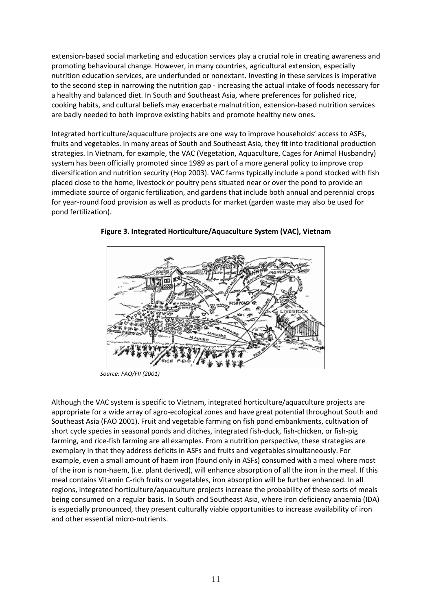extension-based social marketing and education services play a crucial role in creating awareness and promoting behavioural change. However, in many countries, agricultural extension, especially nutrition education services, are underfunded or nonextant. Investing in these services is imperative to the second step in narrowing the nutrition gap - increasing the actual intake of foods necessary for a healthy and balanced diet. In South and Southeast Asia, where preferences for polished rice, cooking habits, and cultural beliefs may exacerbate malnutrition, extension-based nutrition services are badly needed to both improve existing habits and promote healthy new ones.

Integrated horticulture/aquaculture projects are one way to improve households' access to ASFs, fruits and vegetables. In many areas of South and Southeast Asia, they fit into traditional production strategies. In Vietnam, for example, the VAC (Vegetation, Aquaculture, Cages for Animal Husbandry) system has been officially promoted since 1989 as part of a more general policy to improve crop diversification and nutrition security (Hop 2003). VAC farms typically include a pond stocked with fish placed close to the home, livestock or poultry pens situated near or over the pond to provide an immediate source of organic fertilization, and gardens that include both annual and perennial crops for year-round food provision as well as products for market (garden waste may also be used for pond fertilization).



**Figure 3. Integrated Horticulture/Aquaculture System (VAC), Vietnam**

 *Source: FAO/FII (2001)*

<span id="page-10-0"></span>Although the VAC system is specific to Vietnam, integrated horticulture/aquaculture projects are appropriate for a wide array of agro-ecological zones and have great potential throughout South and Southeast Asia (FAO 2001). Fruit and vegetable farming on fish pond embankments, cultivation of short cycle species in seasonal ponds and ditches, integrated fish-duck, fish-chicken, or fish-pig farming, and rice-fish farming are all examples. From a nutrition perspective, these strategies are exemplary in that they address deficits in ASFs and fruits and vegetables simultaneously. For example, even a small amount of haem iron (found only in ASFs) consumed with a meal where most of the iron is non-haem, (i.e. plant derived), will enhance absorption of all the iron in the meal. If this meal contains Vitamin C-rich fruits or vegetables, iron absorption will be further enhanced. In all regions, integrated horticulture/aquaculture projects increase the probability of these sorts of meals being consumed on a regular basis. In South and Southeast Asia, where iron deficiency anaemia (IDA) is especially pronounced, they present culturally viable opportunities to increase availability of iron and other essential micro-nutrients.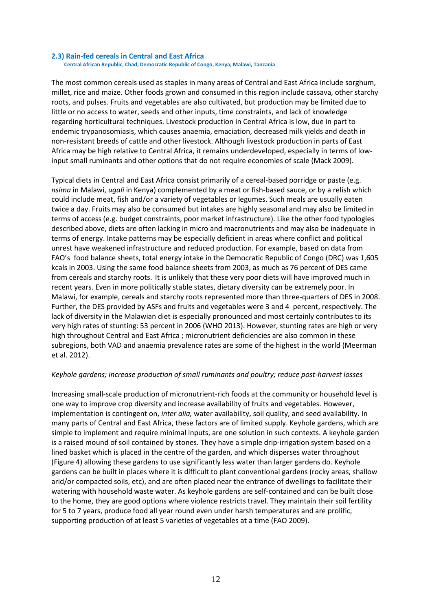**2.3) Rain-fed cereals in Central and East Africa****Central African Republic, Chad, Democratic Republic of Congo, Kenya, Malawi, Tanzania**

The most common cereals used as staples in many areas of Central and East Africa include sorghum, millet, rice and maize. Other foods grown and consumed in this region include cassava, other starchy roots, and pulses. Fruits and vegetables are also cultivated, but production may be limited due to little or no access to water, seeds and other inputs, time constraints, and lack of knowledge regarding horticultural techniques. Livestock production in Central Africa is low, due in part to endemic trypanosomiasis, which causes anaemia, emaciation, decreased milk yields and death in non-resistant breeds of cattle and other livestock. Although livestock production in parts of East Africa may be high relative to Central Africa, it remains underdeveloped, especially in terms of lowinput small ruminants and other options that do not require economies of scale (Mack 2009).

Typical diets in Central and East Africa consist primarily of a cereal-based porridge or paste (e.g. *nsima* in Malawi, *ugali* in Kenya) complemented by a meat or fish-based sauce, or by a relish which could include meat, fish and/or a variety of vegetables or legumes. Such meals are usually eaten twice a day. Fruits may also be consumed but intakes are highly seasonal and may also be limited in terms of access (e.g. budget constraints, poor market infrastructure). Like the other food typologies described above, diets are often lacking in micro and macronutrients and may also be inadequate in terms of energy. Intake patterns may be especially deficient in areas where conflict and political unrest have weakened infrastructure and reduced production. For example, based on data from FAO's food balance sheets, total energy intake in the Democratic Republic of Congo (DRC) was 1,605 kcals in 2003. Using the same food balance sheets from 2003, as much as 76 percent of DES came from cereals and starchy roots. It is unlikely that these very poor diets will have improved much in recent years. Even in more politically stable states, dietary diversity can be extremely poor. In Malawi, for example, cereals and starchy roots represented more than three-quarters of DES in 2008. Further, the DES provided by ASFs and fruits and vegetables were 3 and 4 percent, respectively. The lack of diversity in the Malawian diet is especially pronounced and most certainly contributes to its very high rates of stunting: 53 percent in 2006 (WHO 2013). However, stunting rates are high or very high throughout Central and East Africa ; micronutrient deficiencies are also common in these subregions, both VAD and anaemia prevalence rates are some of the highest in the world (Meerman et al. 2012).

#### *Keyhole gardens; increase production of small ruminants and poultry; reduce post-harvest losses*

Increasing small-scale production of micronutrient-rich foods at the community or household level is one way to improve crop diversity and increase availability of fruits and vegetables. However, implementation is contingent on, *inter alia,* water availability, soil quality, and seed availability. In many parts of Central and East Africa, these factors are of limited supply. Keyhole gardens, which are simple to implement and require minimal inputs, are one solution in such contexts. A keyhole garden is a raised mound of soil contained by stones. They have a simple drip-irrigation system based on a lined basket which is placed in the centre of the garden, and which disperses water throughout (Figure 4) allowing these gardens to use significantly less water than larger gardens do. Keyhole gardens can be built in places where it is difficult to plant conventional gardens (rocky areas, shallow arid/or compacted soils, etc), and are often placed near the entrance of dwellings to facilitate their watering with household waste water. As keyhole gardens are self-contained and can be built close to the home, they are good options where violence restricts travel. They maintain their soil fertility for 5 to 7 years, produce food all year round even under harsh temperatures and are prolific, supporting production of at least 5 varieties of vegetables at a time (FAO 2009).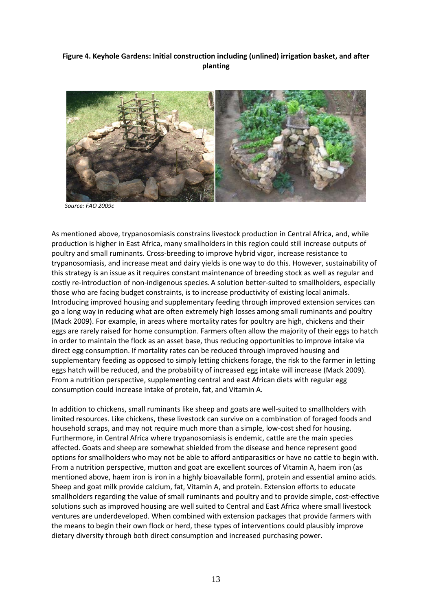#### **Figure 4. Keyhole Gardens: Initial construction including (unlined) irrigation basket, and after planting**



 *Source: FAO 2009c*

As mentioned above, trypanosomiasis constrains livestock production in Central Africa, and, while production is higher in East Africa, many smallholders in this region could still increase outputs of poultry and small ruminants. Cross-breeding to improve hybrid vigor, increase resistance to trypanosomiasis, and increase meat and dairy yields is one way to do this. However, sustainability of this strategy is an issue as it requires constant maintenance of breeding stock as well as regular and costly re-introduction of non-indigenous species.A solution better-suited to smallholders, especially those who are facing budget constraints, is to increase productivity of existing local animals. Introducing improved housing and supplementary feeding through improved extension services can go a long way in reducing what are often extremely high losses among small ruminants and poultry (Mack 2009). For example, in areas where mortality rates for poultry are high, chickens and their eggs are rarely raised for home consumption. Farmers often allow the majority of their eggs to hatch in order to maintain the flock as an asset base, thus reducing opportunities to improve intake via direct egg consumption. If mortality rates can be reduced through improved housing and supplementary feeding as opposed to simply letting chickens forage, the risk to the farmer in letting eggs hatch will be reduced, and the probability of increased egg intake will increase (Mack 2009). From a nutrition perspective, supplementing central and east African diets with regular egg consumption could increase intake of protein, fat, and Vitamin A.

In addition to chickens, small ruminants like sheep and goats are well-suited to smallholders with limited resources. Like chickens, these livestock can survive on a combination of foraged foods and household scraps, and may not require much more than a simple, low-cost shed for housing. Furthermore, in Central Africa where trypanosomiasis is endemic, cattle are the main species affected. Goats and sheep are somewhat shielded from the disease and hence represent good options for smallholders who may not be able to afford antiparasitics or have no cattle to begin with. From a nutrition perspective, mutton and goat are excellent sources of Vitamin A, haem iron (as mentioned above, haem iron is iron in a highly bioavailable form), protein and essential amino acids. Sheep and goat milk provide calcium, fat, Vitamin A, and protein. Extension efforts to educate smallholders regarding the value of small ruminants and poultry and to provide simple, cost-effective solutions such as improved housing are well suited to Central and East Africa where small livestock ventures are underdeveloped. When combined with extension packages that provide farmers with the means to begin their own flock or herd, these types of interventions could plausibly improve dietary diversity through both direct consumption and increased purchasing power.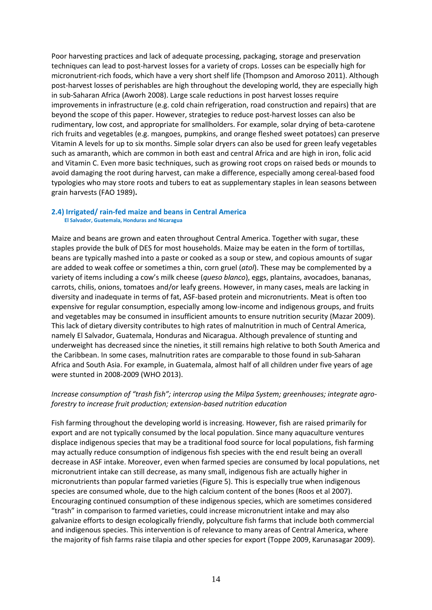Poor harvesting practices and lack of adequate processing, packaging, storage and preservation techniques can lead to post-harvest losses for a variety of crops. Losses can be especially high for micronutrient-rich foods, which have a very short shelf life (Thompson and Amoroso 2011). Although post-harvest losses of perishables are high throughout the developing world, they are especially high in sub-Saharan Africa (Aworh 2008). Large scale reductions in post harvest losses require improvements in infrastructure (e.g. cold chain refrigeration, road construction and repairs) that are beyond the scope of this paper. However, strategies to reduce post-harvest losses can also be rudimentary, low cost, and appropriate for smallholders. For example, solar drying of beta-carotene rich fruits and vegetables (e.g. mangoes, pumpkins, and orange fleshed sweet potatoes) can preserve Vitamin A levels for up to six months. Simple solar dryers can also be used for green leafy vegetables such as amaranth, which are common in both east and central Africa and are high in iron, folic acid and Vitamin C. Even more basic techniques, such as growing root crops on raised beds or mounds to avoid damaging the root during harvest, can make a difference, especially among cereal-based food typologies who may store roots and tubers to eat as supplementary staples in lean seasons between grain harvests (FAO 1989)**.**

## <span id="page-13-0"></span>**2.4) Irrigated/ rain-fed maize and beans in Central America El Salvador, Guatemala, Honduras and Nicaragua**

Maize and beans are grown and eaten throughout Central America. Together with sugar, these staples provide the bulk of DES for most households. Maize may be eaten in the form of tortillas, beans are typically mashed into a paste or cooked as a soup or stew, and copious amounts of sugar are added to weak coffee or sometimes a thin, corn gruel (*atol*). These may be complemented by a variety of items including a cow's milk cheese (*queso blanco*), eggs, plantains, avocadoes, bananas, carrots, chilis, onions, tomatoes and/or leafy greens. However, in many cases, meals are lacking in diversity and inadequate in terms of fat, ASF-based protein and micronutrients. Meat is often too expensive for regular consumption, especially among low-income and indigenous groups, and fruits and vegetables may be consumed in insufficient amounts to ensure nutrition security (Mazar 2009). This lack of dietary diversity contributes to high rates of malnutrition in much of Central America, namely El Salvador, Guatemala, Honduras and Nicaragua. Although prevalence of stunting and underweight has decreased since the nineties, it still remains high relative to both South America and the Caribbean. In some cases, malnutrition rates are comparable to those found in sub-Saharan Africa and South Asia. For example, in Guatemala, almost half of all children under five years of age were stunted in 2008-2009 (WHO 2013).

#### *Increase consumption of "trash fish"; intercrop using the Milpa System; greenhouses; integrate agroforestry to increase fruit production; extension-based nutrition education*

Fish farming throughout the developing world is increasing. However, fish are raised primarily for export and are not typically consumed by the local population. Since many aquaculture ventures displace indigenous species that may be a traditional food source for local populations, fish farming may actually reduce consumption of indigenous fish species with the end result being an overall decrease in ASF intake. Moreover, even when farmed species are consumed by local populations, net micronutrient intake can still decrease, as many small, indigenous fish are actually higher in micronutrients than popular farmed varieties (Figure 5). This is especially true when indigenous species are consumed whole, due to the high calcium content of the bones (Roos et al 2007). Encouraging continued consumption of these indigenous species, which are sometimes considered "trash" in comparison to farmed varieties, could increase micronutrient intake and may also galvanize efforts to design ecologically friendly, polyculture fish farms that include both commercial and indigenous species. This intervention is of relevance to many areas of Central America, where the majority of fish farms raise tilapia and other species for export (Toppe 2009, Karunasagar 2009).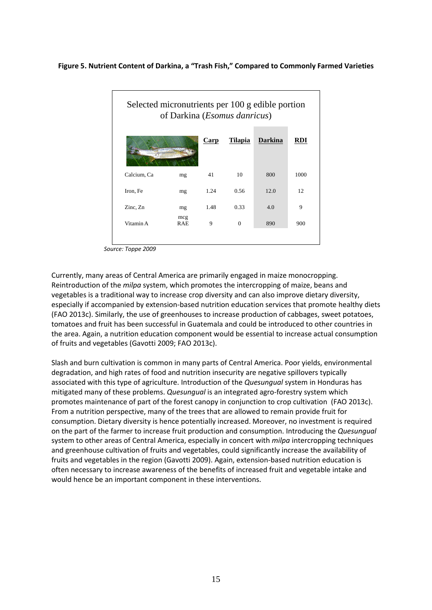#### **Figure 5. Nutrient Content of Darkina, a "Trash Fish," Compared to Commonly Farmed Varieties**

| Selected micronutrients per 100 g edible portion<br>of Darkina ( <i>Esomus danricus</i> ) |                   |      |                |                |      |
|-------------------------------------------------------------------------------------------|-------------------|------|----------------|----------------|------|
|                                                                                           |                   | Carp | <b>Tilapia</b> | <b>Darkina</b> |      |
| Calcium, Ca                                                                               | mg                | 41   | 10             | 800            | 1000 |
| Iron, Fe                                                                                  | mg                | 1.24 | 0.56           | 12.0           | 12   |
| Zinc, Zn                                                                                  | mg                | 1.48 | 0.33           | 4.0            | 9    |
| Vitamin A                                                                                 | mcg<br><b>RAE</b> | 9    | $\theta$       | 890            | 900  |

 *Source: Toppe 2009*

Currently, many areas of Central America are primarily engaged in maize monocropping. Reintroduction of the *milpa* system, which promotes the intercropping of maize, beans and vegetables is a traditional way to increase crop diversity and can also improve dietary diversity, especially if accompanied by extension-based nutrition education services that promote healthy diets (FAO 2013c). Similarly, the use of greenhouses to increase production of cabbages, sweet potatoes, tomatoes and fruit has been successful in Guatemala and could be introduced to other countries in the area. Again, a nutrition education component would be essential to increase actual consumption of fruits and vegetables (Gavotti 2009; FAO 2013c).

Slash and burn cultivation is common in many parts of Central America. Poor yields, environmental degradation, and high rates of food and nutrition insecurity are negative spillovers typically associated with this type of agriculture. Introduction of the *Quesungual* system in Honduras has mitigated many of these problems. *Quesungual* is an integrated agro-forestry system which promotes maintenance of part of the forest canopy in conjunction to crop cultivation (FAO 2013c). From a nutrition perspective, many of the trees that are allowed to remain provide fruit for consumption. Dietary diversity is hence potentially increased. Moreover, no investment is required on the part of the farmer to increase fruit production and consumption. Introducing the *Quesungual*  system to other areas of Central America, especially in concert with *milpa* intercropping techniques and greenhouse cultivation of fruits and vegetables, could significantly increase the availability of fruits and vegetables in the region (Gavotti 2009). Again, extension-based nutrition education is often necessary to increase awareness of the benefits of increased fruit and vegetable intake and would hence be an important component in these interventions.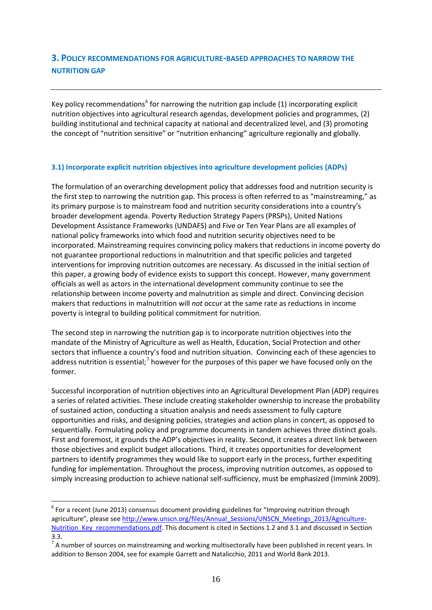#### <span id="page-15-0"></span>**3. POLICY RECOMMENDATIONS FOR AGRICULTURE-BASED APPROACHES TO NARROW THE NUTRITION GAP**

Key policy recommendations<sup>[6](#page-8-1)</sup> for narrowing the nutrition gap include (1) incorporating explicit nutrition objectives into agricultural research agendas, development policies and programmes, (2) building institutional and technical capacity at national and decentralized level, and (3) promoting the concept of "nutrition sensitive" or "nutrition enhancing" agriculture regionally and globally.

#### <span id="page-15-1"></span>**3.1) Incorporate explicit nutrition objectives into agriculture development policies (ADPs)**

The formulation of an overarching development policy that addresses food and nutrition security is the first step to narrowing the nutrition gap. This process is often referred to as "mainstreaming," as its primary purpose is to mainstream food and nutrition security considerations into a country's broader development agenda. Poverty Reduction Strategy Papers (PRSPs), United Nations Development Assistance Frameworks (UNDAFS) and Five or Ten Year Plans are all examples of national policy frameworks into which food and nutrition security objectives need to be incorporated. Mainstreaming requires convincing policy makers that reductions in income poverty do not guarantee proportional reductions in malnutrition and that specific policies and targeted interventions for improving nutrition outcomes are necessary. As discussed in the initial section of this paper, a growing body of evidence exists to support this concept. However, many government officials as well as actors in the international development community continue to see the relationship between income poverty and malnutrition as simple and direct. Convincing decision makers that reductions in malnutrition will *not* occur at the same rate as reductions in income poverty is integral to building political commitment for nutrition.

The second step in narrowing the nutrition gap is to incorporate nutrition objectives into the mandate of the Ministry of Agriculture as well as Health, Education, Social Protection and other sectors that influence a country's food and nutrition situation. Convincing each of these agencies to address nutrition is essential;<sup>[7](#page-15-2)</sup> however for the purposes of this paper we have focused only on the former.

Successful incorporation of nutrition objectives into an Agricultural Development Plan (ADP) requires a series of related activities. These include creating stakeholder ownership to increase the probability of sustained action, conducting a situation analysis and needs assessment to fully capture opportunities and risks, and designing policies, strategies and action plans in concert, as opposed to sequentially. Formulating policy and programme documents in tandem achieves three distinct goals. First and foremost, it grounds the ADP's objectives in reality. Second, it creates a direct link between those objectives and explicit budget allocations. Third, it creates opportunities for development partners to identify programmes they would like to support early in the process, further expediting funding for implementation. Throughout the process, improving nutrition outcomes, as opposed to simply increasing production to achieve national self-sufficiency, must be emphasized (Immink 2009).

<sup>&</sup>lt;sup>6</sup> For a recent (June 2013) consensus document providing guidelines for "Improving nutrition through agriculture", please se[e http://www.unscn.org/files/Annual\\_Sessions/UNSCN\\_Meetings\\_2013/Agriculture-](http://www.unscn.org/files/Annual_Sessions/UNSCN_Meetings_2013/Agriculture-Nutrition_Key_recommendations.pdf)[Nutrition\\_Key\\_recommendations.pdf.](http://www.unscn.org/files/Annual_Sessions/UNSCN_Meetings_2013/Agriculture-Nutrition_Key_recommendations.pdf) This document is cited in Sections 1.2 and 3.1 and discussed in Section 3.3.

<span id="page-15-2"></span> $<sup>7</sup>$  A number of sources on mainstreaming and working multisectorally have been published in recent years. In</sup> addition to Benson 2004, see for example Garrett and Natalicchio, 2011 and World Bank 2013.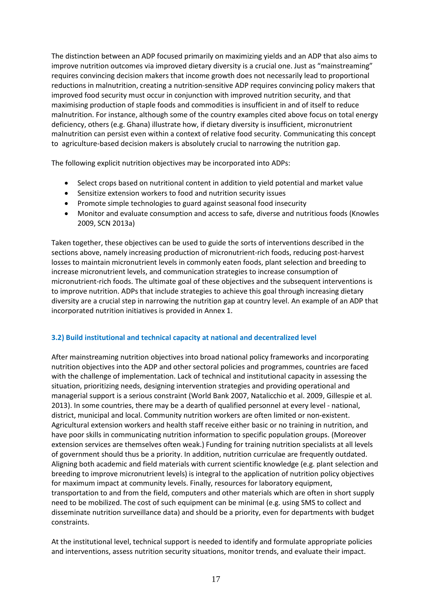The distinction between an ADP focused primarily on maximizing yields and an ADP that also aims to improve nutrition outcomes via improved dietary diversity is a crucial one. Just as "mainstreaming" requires convincing decision makers that income growth does not necessarily lead to proportional reductions in malnutrition, creating a nutrition-sensitive ADP requires convincing policy makers that improved food security must occur in conjunction with improved nutrition security, and that maximising production of staple foods and commodities is insufficient in and of itself to reduce malnutrition. For instance, although some of the country examples cited above focus on total energy deficiency, others (e.g. Ghana) illustrate how, if dietary diversity is insufficient, micronutrient malnutrition can persist even within a context of relative food security. Communicating this concept to agriculture-based decision makers is absolutely crucial to narrowing the nutrition gap.

The following explicit nutrition objectives may be incorporated into ADPs:

- Select crops based on nutritional content in addition to yield potential and market value
- Sensitize extension workers to food and nutrition security issues
- Promote simple technologies to guard against seasonal food insecurity
- Monitor and evaluate consumption and access to safe, diverse and nutritious foods (Knowles 2009, SCN 2013a)

Taken together, these objectives can be used to guide the sorts of interventions described in the sections above, namely increasing production of micronutrient-rich foods, reducing post-harvest losses to maintain micronutrient levels in commonly eaten foods, plant selection and breeding to increase micronutrient levels, and communication strategies to increase consumption of micronutrient-rich foods. The ultimate goal of these objectives and the subsequent interventions is to improve nutrition. ADPs that include strategies to achieve this goal through increasing dietary diversity are a crucial step in narrowing the nutrition gap at country level. An example of an ADP that incorporated nutrition initiatives is provided in Annex 1.

#### <span id="page-16-0"></span>**3.2) Build institutional and technical capacity at national and decentralized level**

After mainstreaming nutrition objectives into broad national policy frameworks and incorporating nutrition objectives into the ADP and other sectoral policies and programmes, countries are faced with the challenge of implementation. Lack of technical and institutional capacity in assessing the situation, prioritizing needs, designing intervention strategies and providing operational and managerial support is a serious constraint (World Bank 2007, Natalicchio et al. 2009, Gillespie et al. 2013). In some countries, there may be a dearth of qualified personnel at every level - national, district, municipal and local. Community nutrition workers are often limited or non-existent. Agricultural extension workers and health staff receive either basic or no training in nutrition, and have poor skills in communicating nutrition information to specific population groups. (Moreover extension services are themselves often weak.) Funding for training nutrition specialists at all levels of government should thus be a priority. In addition, nutrition curriculae are frequently outdated. Aligning both academic and field materials with current scientific knowledge (e.g. plant selection and breeding to improve micronutrient levels) is integral to the application of nutrition policy objectives for maximum impact at community levels. Finally, resources for laboratory equipment, transportation to and from the field, computers and other materials which are often in short supply need to be mobilized. The cost of such equipment can be minimal (e.g. using SMS to collect and disseminate nutrition surveillance data) and should be a priority, even for departments with budget constraints.

At the institutional level, technical support is needed to identify and formulate appropriate policies and interventions, assess nutrition security situations, monitor trends, and evaluate their impact.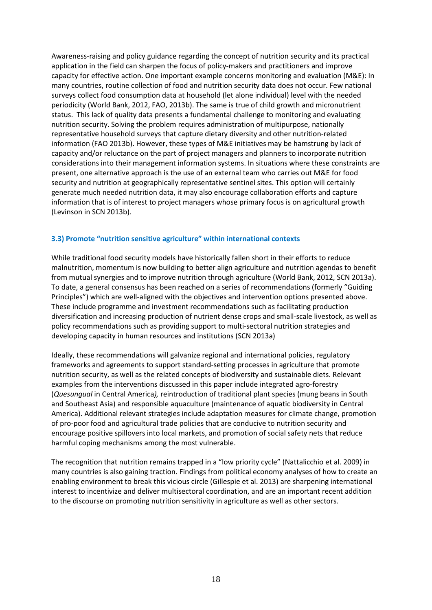<span id="page-17-1"></span>Awareness-raising and policy guidance regarding the concept of nutrition security and its practical application in the field can sharpen the focus of policy-makers and practitioners and improve capacity for effective action. One important example concerns monitoring and evaluation (M&E): In many countries, routine collection of food and nutrition security data does not occur. Few national surveys collect food consumption data at household (let alone individual) level with the needed periodicity (World Bank, 2012, FAO, 2013b). The same is true of child growth and micronutrient status. This lack of quality data presents a fundamental challenge to monitoring and evaluating nutrition security. Solving the problem requires administration of multipurpose, nationally representative household surveys that capture dietary diversity and other nutrition-related information (FAO 2013b). However, these types of M&E initiatives may be hamstrung by lack of capacity and/or reluctance on the part of project managers and planners to incorporate nutrition considerations into their management information systems. In situations where these constraints are present, one alternative approach is the use of an external team who carries out M&E for food security and nutrition at geographically representative sentinel sites. This option will certainly generate much needed nutrition data, it may also encourage collaboration efforts and capture information that is of interest to project managers whose primary focus is on agricultural growth (Levinson in SCN 2013b).

#### <span id="page-17-0"></span>**3.3) Promote "nutrition sensitive agriculture" within international contexts**

While traditional food security models have historically fallen short in their efforts to reduce malnutrition, momentum is now building to better align agriculture and nutrition agendas to benefit from mutual synergies and to improve nutrition through agriculture (World Bank, 2012, SCN 2013a). To date, a general consensus has been reached on a series of recommendations (formerly "Guiding Principles") which are well-aligned with the objectives and intervention options presented above. These include programme and investment recommendations such as facilitating production diversification and increasing production of nutrient dense crops and small-scale livestock, as well as policy recommendations such as providing support to multi-sectoral nutrition strategies and developing capacity in human resources and institutions (SCN 2013a)

Ideally, these recommendations will galvanize regional and international policies, regulatory frameworks and agreements to support standard-setting processes in agriculture that promote nutrition security, as well as the related concepts of biodiversity and sustainable diets. Relevant examples from the interventions discussed in this paper include integrated agro-forestry (*Quesungual* in Central America*),* reintroduction of traditional plant species (mung beans in South and Southeast Asia) and responsible aquaculture (maintenance of aquatic biodiversity in Central America). Additional relevant strategies include adaptation measures for climate change, promotion of pro-poor food and agricultural trade policies that are conducive to nutrition security and encourage positive spillovers into local markets, and promotion of social safety nets that reduce harmful coping mechanisms among the most vulnerable.

The recognition that nutrition remains trapped in a "low priority cycle" (Nattalicchio et al. 2009) in many countries is also gaining traction. Findings from political economy analyses of how to create an enabling environment to break this vicious circle (Gillespie et al. 2013) are sharpening international interest to incentivize and deliver multisectoral coordination, and are an important recent addition to the discourse on promoting nutrition sensitivity in agriculture as well as other sectors.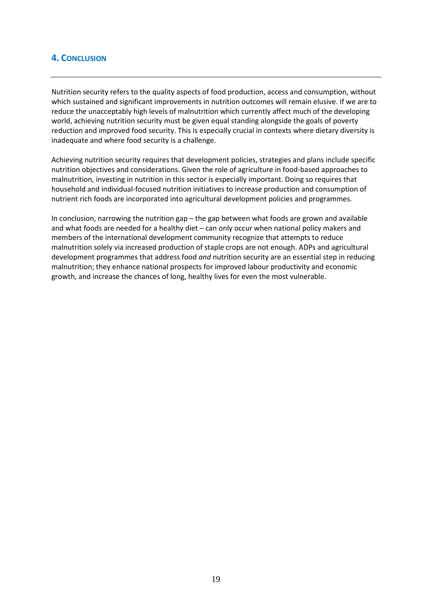#### <span id="page-18-0"></span>**4. CONCLUSION**

Nutrition security refers to the quality aspects of food production, access and consumption, without which sustained and significant improvements in nutrition outcomes will remain elusive. If we are to reduce the unacceptably high levels of malnutrition which currently affect much of the developing world, achieving nutrition security must be given equal standing alongside the goals of poverty reduction and improved food security. This is especially crucial in contexts where dietary diversity is inadequate and where food security is a challenge.

Achieving nutrition security requires that development policies, strategies and plans include specific nutrition objectives and considerations. Given the role of agriculture in food-based approaches to malnutrition, investing in nutrition in this sector is especially important. Doing so requires that household and individual-focused nutrition initiatives to increase production and consumption of nutrient rich foods are incorporated into agricultural development policies and programmes.

In conclusion, narrowing the nutrition gap – the gap between what foods are grown and available and what foods are needed for a healthy diet – can only occur when national policy makers and members of the international development community recognize that attempts to reduce malnutrition solely via increased production of staple crops are not enough. ADPs and agricultural development programmes that address food *and* nutrition security are an essential step in reducing malnutrition; they enhance national prospects for improved labour productivity and economic growth, and increase the chances of long, healthy lives for even the most vulnerable.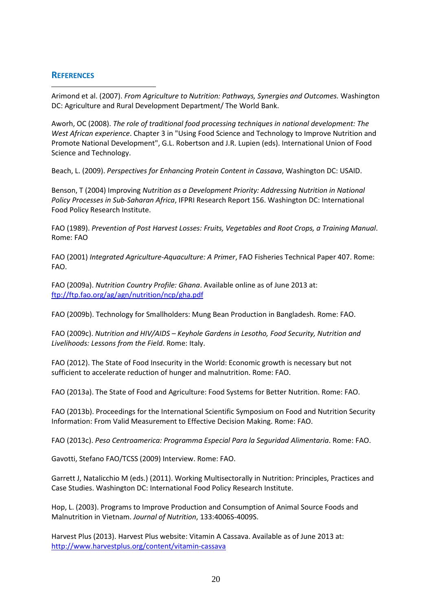#### <span id="page-19-0"></span>**REFERENCES**

-Arimond et al. (2007). *From Agriculture to Nutrition: Pathways, Synergies and Outcomes.* Washington DC: Agriculture and Rural Development Department/ The World Bank.

Aworh, OC (2008). *The role of traditional food processing techniques in national development: The West African experience*. Chapter 3 in "Using Food Science and Technology to Improve Nutrition and Promote National Development", G.L. Robertson and J.R. Lupien (eds). International Union of Food Science and Technology.

Beach, L. (2009). *Perspectives for Enhancing Protein Content in Cassava*, Washington DC: USAID.

Benson, T (2004) Improving *Nutrition as a Development Priority: Addressing Nutrition in National Policy Processes in Sub-Saharan Africa*, IFPRI Research Report 156. Washington DC: International Food Policy Research Institute.

FAO (1989). *Prevention of Post Harvest Losses: Fruits, Vegetables and Root Crops, a Training Manual*. Rome: FAO

FAO (2001) *Integrated Agriculture-Aquaculture: A Primer*, FAO Fisheries Technical Paper 407. Rome: FAO.

FAO (2009a). *Nutrition Country Profile: Ghana*. Available online as of June 2013 at: <ftp://ftp.fao.org/ag/agn/nutrition/ncp/gha.pdf>

FAO (2009b). Technology for Smallholders: Mung Bean Production in Bangladesh. Rome: FAO.

FAO (2009c). *Nutrition and HIV/AIDS – Keyhole Gardens in Lesotho, Food Security, Nutrition and Livelihoods: Lessons from the Field*. Rome: Italy.

FAO (2012). The State of Food Insecurity in the World: Economic growth is necessary but not sufficient to accelerate reduction of hunger and malnutrition. Rome: FAO.

FAO (2013a). The State of Food and Agriculture: Food Systems for Better Nutrition. Rome: FAO.

FAO (2013b). Proceedings for the International Scientific Symposium on Food and Nutrition Security Information: From Valid Measurement to Effective Decision Making. Rome: FAO.

FAO (2013c). *Peso Centroamerica: Programma Especial Para la Seguridad Alimentaria*. Rome: FAO.

Gavotti, Stefano FAO/TCSS (2009) Interview. Rome: FAO.

Garrett J, Natalicchio M (eds.) (2011). Working Multisectorally in Nutrition: Principles, Practices and Case Studies. Washington DC: International Food Policy Research Institute.

Hop, L. (2003). Programs to Improve Production and Consumption of Animal Source Foods and Malnutrition in Vietnam. *Journal of Nutrition*, 133:4006S-4009S.

Harvest Plus (2013). Harvest Plus website: Vitamin A Cassava. Available as of June 2013 at: <http://www.harvestplus.org/content/vitamin-cassava>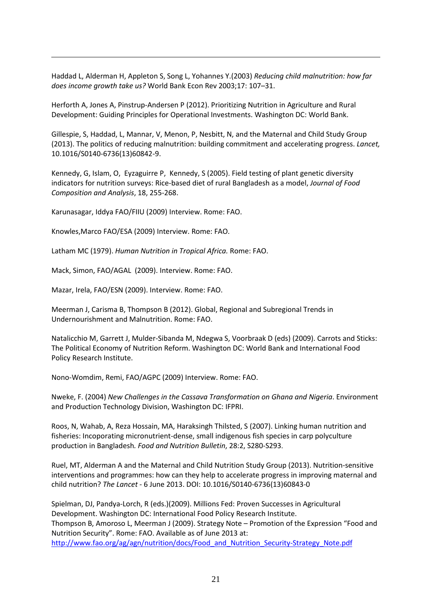Haddad L, Alderman H, Appleton S, Song L, Yohannes Y.(2003) *Reducing child malnutrition: how far does income growth take us?* World Bank Econ Rev 2003;17: 107–31.

Herforth A, Jones A, Pinstrup-Andersen P (2012). Prioritizing Nutrition in Agriculture and Rural Development: Guiding Principles for Operational Investments. Washington DC: World Bank.

Gillespie, S, Haddad, L, Mannar, V, Menon, P, Nesbitt, N, and the Maternal and Child Study Group (2013). The politics of reducing malnutrition: building commitment and accelerating progress. *Lancet,* 10.1016/S0140-6736(13)60842-9.

Kennedy, G, Islam, O, Eyzaguirre P, Kennedy, S (2005). Field testing of plant genetic diversity indicators for nutrition surveys: Rice-based diet of rural Bangladesh as a model, *Journal of Food Composition and Analysis*, 18, 255-268.

Karunasagar, Iddya FAO/FIIU (2009) Interview. Rome: FAO.

Knowles,Marco FAO/ESA (2009) Interview. Rome: FAO.

-

Latham MC (1979). *Human Nutrition in Tropical Africa.* Rome: FAO.

Mack, Simon, FAO/AGAL (2009). Interview. Rome: FAO.

Mazar, Irela, FAO/ESN (2009). Interview. Rome: FAO.

Meerman J, Carisma B, Thompson B (2012). Global, Regional and Subregional Trends in Undernourishment and Malnutrition. Rome: FAO.

Natalicchio M, Garrett J, Mulder-Sibanda M, Ndegwa S, Voorbraak D (eds) (2009). Carrots and Sticks: The Political Economy of Nutrition Reform. Washington DC: World Bank and International Food Policy Research Institute.

Nono-Womdim, Remi, FAO/AGPC (2009) Interview. Rome: FAO.

Nweke, F. (2004) *New Challenges in the Cassava Transformation on Ghana and Nigeria*. Environment and Production Technology Division, Washington DC: IFPRI.

Roos, N, Wahab, A, Reza Hossain, MA, Haraksingh Thilsted, S (2007). Linking human nutrition and fisheries: Incoporating micronutrient-dense, small indigenous fish species in carp polyculture production in Bangladesh*. Food and Nutrition Bulletin*, 28:2, S280-S293.

Ruel, MT, Alderman A and the Maternal and Child Nutrition Study Group (2013). Nutrition-sensitive interventions and programmes: how can they help to accelerate progress in improving maternal and child nutrition? *The Lancet* - 6 June 2013. DOI: 10.1016/S0140-6736(13)60843-0

Spielman, DJ, Pandya-Lorch, R (eds.)(2009). Millions Fed: Proven Successes in Agricultural Development. Washington DC: International Food Policy Research Institute. Thompson B, Amoroso L, Meerman J (2009). Strategy Note – Promotion of the Expression "Food and Nutrition Security". Rome: FAO. Available as of June 2013 at: [http://www.fao.org/ag/agn/nutrition/docs/Food\\_and\\_Nutrition\\_Security-Strategy\\_Note.pdf](http://www.fao.org/ag/agn/nutrition/docs/Food_and_Nutrition_Security-Strategy_Note.pdf)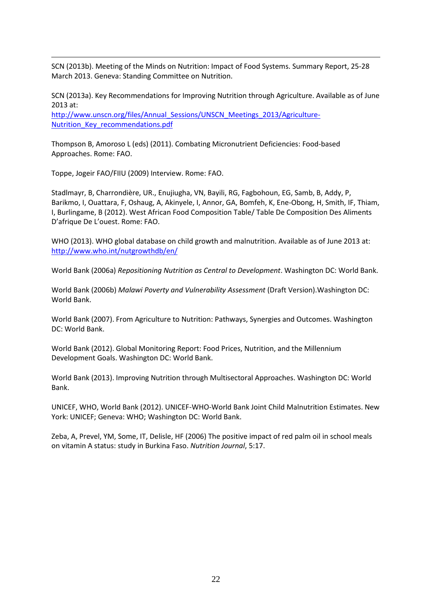SCN (2013b). Meeting of the Minds on Nutrition: Impact of Food Systems. Summary Report, 25-28 March 2013. Geneva: Standing Committee on Nutrition.

SCN (2013a). Key Recommendations for Improving Nutrition through Agriculture. Available as of June 2013 at:

[http://www.unscn.org/files/Annual\\_Sessions/UNSCN\\_Meetings\\_2013/Agriculture-](http://www.unscn.org/files/Annual_Sessions/UNSCN_Meetings_2013/Agriculture-Nutrition_Key_recommendations.pdf)[Nutrition\\_Key\\_recommendations.pdf](http://www.unscn.org/files/Annual_Sessions/UNSCN_Meetings_2013/Agriculture-Nutrition_Key_recommendations.pdf)

Thompson B, Amoroso L (eds) (2011). Combating Micronutrient Deficiencies: Food-based Approaches. Rome: FAO.

Toppe, Jogeir FAO/FIIU (2009) Interview. Rome: FAO.

-

Stadlmayr, B, Charrondière, UR., Enujiugha, VN, Bayili, RG, Fagbohoun, EG, Samb, B, Addy, P, Barikmo, I, Ouattara, F, Oshaug, A, Akinyele, I, Annor, GA, Bomfeh, K, Ene-Obong, H, Smith, IF, Thiam, I, Burlingame, B (2012). West African Food Composition Table/ Table De Composition Des Aliments D'afrique De L'ouest. Rome: FAO.

WHO (2013). WHO global database on child growth and malnutrition. Available as of June 2013 at: <http://www.who.int/nutgrowthdb/en/>

World Bank (2006a) *Repositioning Nutrition as Central to Development*. Washington DC: World Bank.

World Bank (2006b) *Malawi Poverty and Vulnerability Assessment* (Draft Version).Washington DC: World Bank.

World Bank (2007). From Agriculture to Nutrition: Pathways, Synergies and Outcomes. Washington DC: World Bank.

World Bank (2012). Global Monitoring Report: Food Prices, Nutrition, and the Millennium Development Goals. Washington DC: World Bank.

World Bank (2013). Improving Nutrition through Multisectoral Approaches. Washington DC: World Bank.

UNICEF, WHO, World Bank (2012). UNICEF-WHO-World Bank Joint Child Malnutrition Estimates. New York: UNICEF; Geneva: WHO; Washington DC: World Bank.

Zeba, A, Prevel, YM, Some, IT, Delisle, HF (2006) The positive impact of red palm oil in school meals on vitamin A status: study in Burkina Faso. *Nutrition Journal*, 5:17.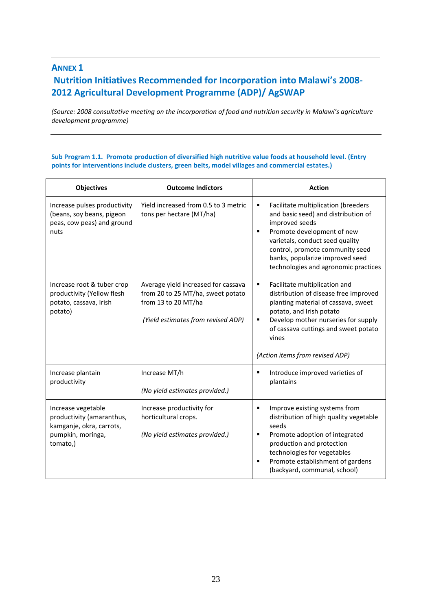### **ANNEX 1 Nutrition Initiatives Recommended for Incorporation into Malawi's 2008- 2012 Agricultural Development Programme (ADP)/ AgSWAP**

-

*(Source: 2008 consultative meeting on the incorporation of food and nutrition security in Malawi's agriculture development programme)*

#### **Sub Program 1.1. Promote production of diversified high nutritive value foods at household level. (Entry points for interventions include clusters, green belts, model villages and commercial estates.)**

| <b>Objectives</b>                                                                                            | <b>Outcome Indictors</b>                                                                                                              | <b>Action</b>                                                                                                                                                                                                                                                                         |  |
|--------------------------------------------------------------------------------------------------------------|---------------------------------------------------------------------------------------------------------------------------------------|---------------------------------------------------------------------------------------------------------------------------------------------------------------------------------------------------------------------------------------------------------------------------------------|--|
| Increase pulses productivity<br>(beans, soy beans, pigeon<br>peas, cow peas) and ground<br>nuts              | Yield increased from 0.5 to 3 metric<br>tons per hectare (MT/ha)                                                                      | Facilitate multiplication (breeders<br>٠<br>and basic seed) and distribution of<br>improved seeds<br>Promote development of new<br>٠<br>varietals, conduct seed quality<br>control, promote community seed<br>banks, popularize improved seed<br>technologies and agronomic practices |  |
| Increase root & tuber crop<br>productivity (Yellow flesh<br>potato, cassava, Irish<br>potato)                | Average yield increased for cassava<br>from 20 to 25 MT/ha, sweet potato<br>from 13 to 20 MT/ha<br>(Yield estimates from revised ADP) | Facilitate multiplication and<br>٠<br>distribution of disease free improved<br>planting material of cassava, sweet<br>potato, and Irish potato<br>Develop mother nurseries for supply<br>٠<br>of cassava cuttings and sweet potato<br>vines<br>(Action items from revised ADP)        |  |
| Increase plantain<br>productivity                                                                            | Increase MT/h<br>(No yield estimates provided.)                                                                                       | Introduce improved varieties of<br>٠<br>plantains                                                                                                                                                                                                                                     |  |
| Increase vegetable<br>productivity (amaranthus,<br>kamganje, okra, carrots,<br>pumpkin, moringa,<br>tomato,) | Increase productivity for<br>horticultural crops.<br>(No yield estimates provided.)                                                   | Improve existing systems from<br>٠<br>distribution of high quality vegetable<br>seeds<br>Promote adoption of integrated<br>٠<br>production and protection<br>technologies for vegetables<br>Promote establishment of gardens<br>٠<br>(backyard, communal, school)                     |  |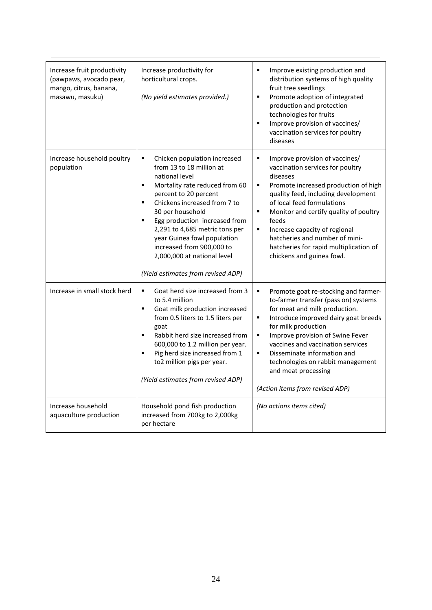| Increase fruit productivity<br>(pawpaws, avocado pear,<br>mango, citrus, banana,<br>masawu, masuku) | Increase productivity for<br>horticultural crops.<br>(No yield estimates provided.)                                                                                                                                                                                                                                                                                                                                            | $\blacksquare$<br>Improve existing production and<br>distribution systems of high quality<br>fruit tree seedlings<br>$\blacksquare$<br>Promote adoption of integrated<br>production and protection<br>technologies for fruits<br>$\blacksquare$<br>Improve provision of vaccines/<br>vaccination services for poultry<br>diseases                                                                                                      |
|-----------------------------------------------------------------------------------------------------|--------------------------------------------------------------------------------------------------------------------------------------------------------------------------------------------------------------------------------------------------------------------------------------------------------------------------------------------------------------------------------------------------------------------------------|----------------------------------------------------------------------------------------------------------------------------------------------------------------------------------------------------------------------------------------------------------------------------------------------------------------------------------------------------------------------------------------------------------------------------------------|
| Increase household poultry<br>population                                                            | Chicken population increased<br>٠<br>from 13 to 18 million at<br>national level<br>Mortality rate reduced from 60<br>٠<br>percent to 20 percent<br>Chickens increased from 7 to<br>$\blacksquare$<br>30 per household<br>Egg production increased from<br>٠<br>2,291 to 4,685 metric tons per<br>year Guinea fowl population<br>increased from 900,000 to<br>2,000,000 at national level<br>(Yield estimates from revised ADP) | ٠<br>Improve provision of vaccines/<br>vaccination services for poultry<br>diseases<br>Promote increased production of high<br>٠<br>quality feed, including development<br>of local feed formulations<br>$\blacksquare$<br>Monitor and certify quality of poultry<br>feeds<br>$\blacksquare$<br>Increase capacity of regional<br>hatcheries and number of mini-<br>hatcheries for rapid multiplication of<br>chickens and guinea fowl. |
| Increase in small stock herd                                                                        | Goat herd size increased from 3<br>٠<br>to 5.4 million<br>$\blacksquare$<br>Goat milk production increased<br>from 0.5 liters to 1.5 liters per<br>goat<br>Rabbit herd size increased from<br>$\blacksquare$<br>600,000 to 1.2 million per year.<br>Pig herd size increased from 1<br>٠<br>to2 million pigs per year.<br>(Yield estimates from revised ADP)                                                                    | Promote goat re-stocking and farmer-<br>٠<br>to-farmer transfer (pass on) systems<br>for meat and milk production.<br>Introduce improved dairy goat breeds<br>٠<br>for milk production<br>Improve provision of Swine Fever<br>$\blacksquare$<br>vaccines and vaccination services<br>Disseminate information and<br>٠<br>technologies on rabbit management<br>and meat processing<br>(Action items from revised ADP)                   |
| Increase household<br>aquaculture production                                                        | Household pond fish production<br>increased from 700kg to 2,000kg<br>per hectare                                                                                                                                                                                                                                                                                                                                               | (No actions items cited)                                                                                                                                                                                                                                                                                                                                                                                                               |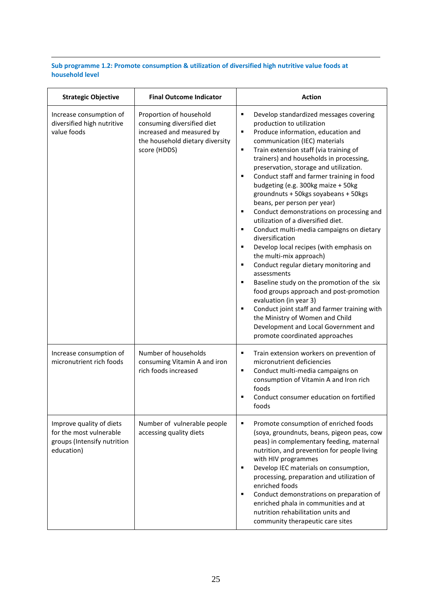#### **Sub programme 1.2: Promote consumption & utilization of diversified high nutritive value foods at household level**

-

| <b>Strategic Objective</b>                                                                       | <b>Final Outcome Indicator</b>                                                                                                        | <b>Action</b>                                                                                                                                                                                                                                                                                                                                                                                                                                                                                                                                                                                                                                                                                                                                                                                                                                                                                                                                                                                                                                         |  |
|--------------------------------------------------------------------------------------------------|---------------------------------------------------------------------------------------------------------------------------------------|-------------------------------------------------------------------------------------------------------------------------------------------------------------------------------------------------------------------------------------------------------------------------------------------------------------------------------------------------------------------------------------------------------------------------------------------------------------------------------------------------------------------------------------------------------------------------------------------------------------------------------------------------------------------------------------------------------------------------------------------------------------------------------------------------------------------------------------------------------------------------------------------------------------------------------------------------------------------------------------------------------------------------------------------------------|--|
| Increase consumption of<br>diversified high nutritive<br>value foods                             | Proportion of household<br>consuming diversified diet<br>increased and measured by<br>the household dietary diversity<br>score (HDDS) | Develop standardized messages covering<br>٠<br>production to utilization<br>Produce information, education and<br>٠<br>communication (IEC) materials<br>Train extension staff (via training of<br>٠<br>trainers) and households in processing,<br>preservation, storage and utilization.<br>Conduct staff and farmer training in food<br>٠<br>budgeting (e.g. 300kg maize + 50kg<br>groundnuts + 50kgs soyabeans + 50kgs<br>beans, per person per year)<br>Conduct demonstrations on processing and<br>٠<br>utilization of a diversified diet.<br>Conduct multi-media campaigns on dietary<br>٠<br>diversification<br>Develop local recipes (with emphasis on<br>٠<br>the multi-mix approach)<br>Conduct regular dietary monitoring and<br>٠<br>assessments<br>Baseline study on the promotion of the six<br>٠<br>food groups approach and post-promotion<br>evaluation (in year 3)<br>Conduct joint staff and farmer training with<br>п<br>the Ministry of Women and Child<br>Development and Local Government and<br>promote coordinated approaches |  |
| Increase consumption of<br>micronutrient rich foods                                              | Number of households<br>consuming Vitamin A and iron<br>rich foods increased                                                          | Train extension workers on prevention of<br>٠<br>micronutrient deficiencies<br>Conduct multi-media campaigns on<br>٠<br>consumption of Vitamin A and Iron rich<br>foods<br>Conduct consumer education on fortified<br>п<br>foods                                                                                                                                                                                                                                                                                                                                                                                                                                                                                                                                                                                                                                                                                                                                                                                                                      |  |
| Improve quality of diets<br>for the most vulnerable<br>groups (Intensify nutrition<br>education) | Number of vulnerable people<br>accessing quality diets                                                                                | Promote consumption of enriched foods<br>٠<br>(soya, groundnuts, beans, pigeon peas, cow<br>peas) in complementary feeding, maternal<br>nutrition, and prevention for people living<br>with HIV programmes<br>Develop IEC materials on consumption,<br>٠<br>processing, preparation and utilization of<br>enriched foods<br>Conduct demonstrations on preparation of<br>٠<br>enriched phala in communities and at<br>nutrition rehabilitation units and<br>community therapeutic care sites                                                                                                                                                                                                                                                                                                                                                                                                                                                                                                                                                           |  |